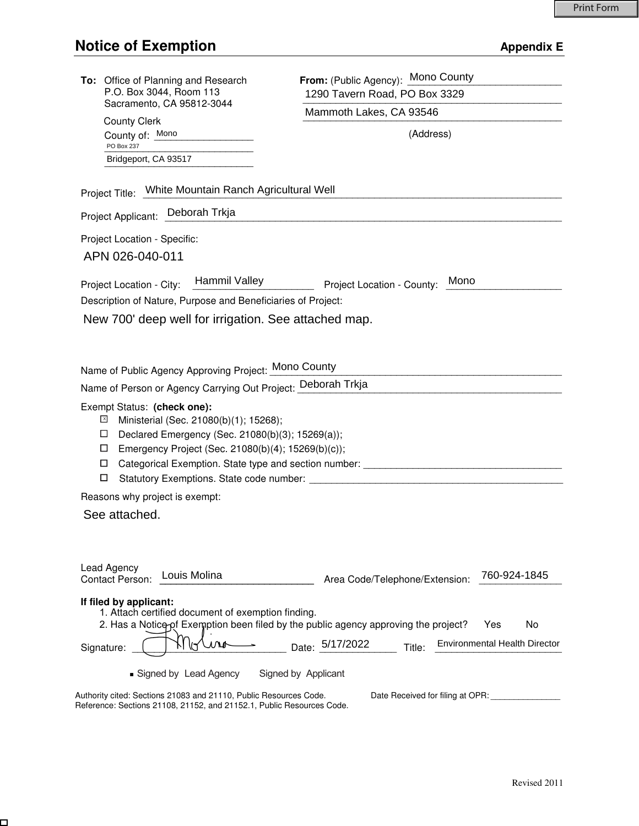| To: Office of Planning and Research<br>P.O. Box 3044, Room 113<br>Sacramento, CA 95812-3044                          | From: (Public Agency): Mono County             |
|----------------------------------------------------------------------------------------------------------------------|------------------------------------------------|
|                                                                                                                      | 1290 Tavern Road, PO Box 3329                  |
| <b>County Clerk</b>                                                                                                  | Mammoth Lakes, CA 93546                        |
| County of: Mono                                                                                                      | (Address)                                      |
| PO Box 237<br>Bridgeport, CA 93517                                                                                   |                                                |
|                                                                                                                      |                                                |
| Project Title: White Mountain Ranch Agricultural Well                                                                |                                                |
| Project Applicant: Deborah Trkja                                                                                     |                                                |
| Project Location - Specific:                                                                                         |                                                |
| APN 026-040-011                                                                                                      |                                                |
| Hammil Valley<br>Project Location - City:                                                                            | Mono<br>Project Location - County:             |
| Description of Nature, Purpose and Beneficiaries of Project:                                                         |                                                |
| New 700' deep well for irrigation. See attached map.                                                                 |                                                |
|                                                                                                                      |                                                |
|                                                                                                                      |                                                |
| Name of Public Agency Approving Project: Mono County                                                                 |                                                |
| Name of Person or Agency Carrying Out Project: Deborah Trkja                                                         |                                                |
| Exempt Status: (check one):                                                                                          |                                                |
| $\mathbf{x}$<br>Ministerial (Sec. 21080(b)(1); 15268);<br>Declared Emergency (Sec. 21080(b)(3); 15269(a));<br>$\Box$ |                                                |
| $\Box$<br>Emergency Project (Sec. 21080(b)(4); 15269(b)(c));                                                         |                                                |
| Categorical Exemption. State type and section number: __________________________<br>□                                |                                                |
| □                                                                                                                    |                                                |
| Reasons why project is exempt:                                                                                       |                                                |
| See attached.                                                                                                        |                                                |
|                                                                                                                      |                                                |
|                                                                                                                      |                                                |
| Lead Agency<br>Louis Molina<br><b>Contact Person:</b>                                                                | 760-924-1845<br>Area Code/Telephone/Extension: |
|                                                                                                                      |                                                |
| If filed by applicant:<br>1. Attach certified document of exemption finding.                                         |                                                |
| 2. Has a Notico-of Exemption been filed by the public agency approving the project?<br>No<br>Yes                     |                                                |
| Date: 5/17/2022<br>Environmental Health Director<br>Title:<br>Signature:                                             |                                                |
| Signed by Lead Agency<br>Signed by Applicant                                                                         |                                                |
| Authority cited: Sections 21083 and 21110, Public Resources Code.<br>Date Received for filing at OPR:                |                                                |

Reference: Sections 21108, 21152, and 21152.1, Public Resources Code.

 $\Box$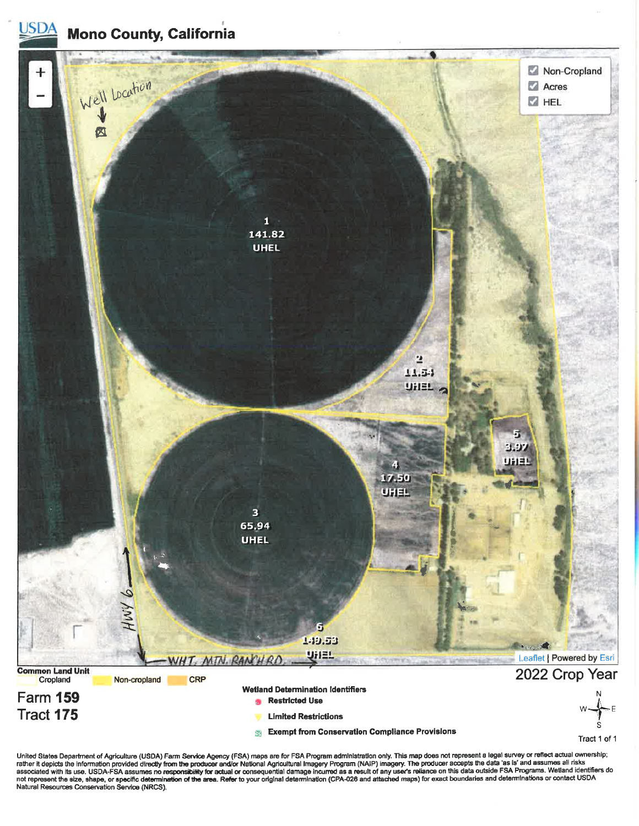**Mono County, California** 

<u>USDA</u>



United States Department of Agriculture (USDA) Farm Service Agency (FSA) maps are for FSA Program administration only. This map does not represent a legal survey or reflect actual ownership;<br>rather it depicts the informati